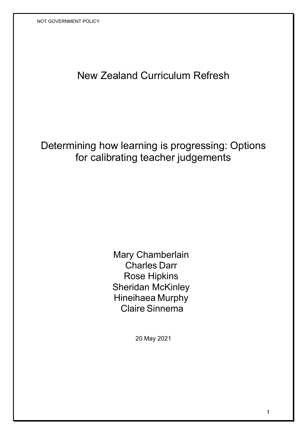# New Zealand Curriculum Refresh

Determining how learning is progressing: Options for calibrating teacher judgements

> Mary Chamberlain Charles Darr Rose Hipkins Sheridan McKinley Hineihaea Murphy Claire Sinnema

> > 20 May 2021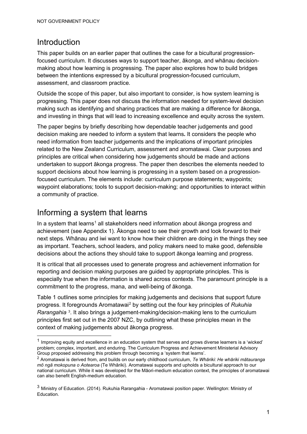## Introduction

This paper builds on an earlier paper that outlines the case for a bicultural progressionfocused curriculum. It discusses ways to support teacher, ākonga, and whānau decisionmaking about how learning is progressing. The paper also explores how to build bridges between the intentions expressed by a bicultural progression-focused curriculum, assessment, and classroom practice.

Outside the scope of this paper, but also important to consider, is how system learning is progressing. This paper does not discuss the information needed for system-level decision making such as identifying and sharing practices that are making a difference for ākonga, and investing in things that will lead to increasing excellence and equity across the system.

The paper begins by briefly describing how dependable teacher judgements and good decision making are needed to inform a system that learns**.** It considers the people who need information from teacher judgements and the implications of important principles related to the New Zealand Curriculum, assessment and aromatawai. Clear purposes and principles are critical when considering how judgements should be made and actions undertaken to support ākonga progress. The paper then describes the elements needed to support decisions about how learning is progressing in a system based on a progressionfocused curriculum. The elements include: curriculum purpose statements; waypoints; waypoint elaborations; tools to support decision-making; and opportunities to interact within a community of practice.

## Informing a system that learns

In a system that learns<sup>[1](#page-1-0)</sup> all stakeholders need information about  $a$  abonga progress and achievement (see Appendix 1). Ākonga need to see their growth and look forward to their next steps. Whānau and iwi want to know how their children are doing in the things they see as important. Teachers, school leaders, and policy makers need to make good, defensible decisions about the actions they should take to support ākonga learning and progress.

It is critical that all processes used to generate progress and achievement information for reporting and decision making purposes are guided by appropriate principles. This is especially true when the information is shared across contexts. The paramount principle is a commitment to the progress, mana, and well-being of ākonga.

Table 1 outlines some principles for making judgements and decisions that support future progress. It foregrounds Aromatawai[2](#page-1-1) by setting out the four key principles of *Rukuhia Rarangahia* [3](#page-1-2). It also brings a judgement-making/decision-making lens to the curriculum principles first set out in the 2007 NZC, by outlining what these principles mean in the context of making judgements about ākonga progress.

<span id="page-1-0"></span> $1$  Improving equity and excellence in an education system that serves and grows diverse learners is a 'wicked' problem; complex, important, and enduring. The Curriculum Progress and Achievement Ministerial Advisory Group proposed addressing this problem through becoming a 'system that learns'.

<span id="page-1-1"></span><sup>2</sup> Aromatawai is derived from, and builds on our early childhood curriculum, *Te Whāriki: He whāriki mātauranga mō ngā mokopuna o Aotearoa* (Te Whāriki). Aromatawai supports and upholds a bicultural approach to our national curriculum. While it was developed for the Māori-medium education context, the principles of aromatawai can also benefit English-medium education.

<span id="page-1-2"></span><sup>3</sup> Ministry of Education. (2014). Rukuhia Rarangahia - Aromatawai position paper. Wellington: Ministry of Education.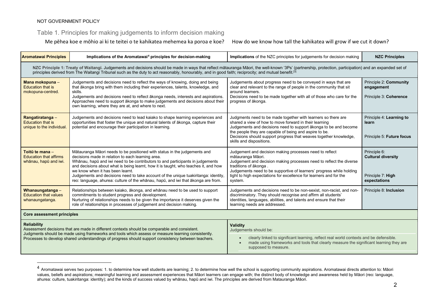#### Table 1. Principles for making judgements to inform decision making

Me pēhea koe e mōhio ai ki te teitei o te kahikatea mehemea ka poroa e koe? How do we know how tall the kahikatea will grow if we cut it down?

<span id="page-2-0"></span>

| <b>Aromatawai Principles</b>                                                                                                                                                                                                                                                                                                                                                 | Implications of the Aromatawai <sup>4</sup> principles for decision-making                                                                                                                                                                                                                                                                                                                                                                                                                                              | <b>Implications</b> of the NZC principles for judgements for decision making                                                                                                                                                                                                                                                                                                                                            | <b>NZC Principles</b>                                          |
|------------------------------------------------------------------------------------------------------------------------------------------------------------------------------------------------------------------------------------------------------------------------------------------------------------------------------------------------------------------------------|-------------------------------------------------------------------------------------------------------------------------------------------------------------------------------------------------------------------------------------------------------------------------------------------------------------------------------------------------------------------------------------------------------------------------------------------------------------------------------------------------------------------------|-------------------------------------------------------------------------------------------------------------------------------------------------------------------------------------------------------------------------------------------------------------------------------------------------------------------------------------------------------------------------------------------------------------------------|----------------------------------------------------------------|
| NZC Principle 1: Treaty of Waitangi. Judgements and decisions should be made in ways that reflect matauranga Maori, the well-known '3Ps' (partnership, protection, participation) and an expanded set of<br>principles derived from The Waitangi Tribunal such as the duty to act reasonably, honourably, and in good faith; reciprocity; and mutual benefit. <sup>[3]</sup> |                                                                                                                                                                                                                                                                                                                                                                                                                                                                                                                         |                                                                                                                                                                                                                                                                                                                                                                                                                         |                                                                |
| Mana mokopuna -<br><b>Education that is</b><br>mokopuna-centred.                                                                                                                                                                                                                                                                                                             | Judgements and decisions need to reflect the ways of knowing, doing and being<br>that ākonga bring with them including their experiences, talents, knowledge, and<br>skills.<br>Judgements and decisions need to reflect ākonga needs, interests and aspirations.<br>Approaches need to support ākonga to make judgements and decisions about their<br>own learning, where they are at, and where to next.                                                                                                              | Judgements about progress need to be conveyed in ways that are<br>clear and relevant to the range of people in the community that sit<br>around learners.<br>Decisions need to be made together with all of those who care for the<br>progress of ākonga.                                                                                                                                                               | Principle 2: Community<br>engagement<br>Principle 3: Coherence |
| Rangatiratanga-<br><b>Education that is</b><br>unique to the individual.                                                                                                                                                                                                                                                                                                     | Judgements and decisions need to lead kaiako to shape learning experiences and<br>opportunities that foster the unique and natural talents of ākonga, capture their<br>potential and encourage their participation in learning.                                                                                                                                                                                                                                                                                         | Judgments need to be made together with learners so there are<br>shared a view of how to move forward in their learning<br>Judgements and decisions need to support akonga to be and become<br>the people they are capable of being and aspire to be.<br>Decisions should support progress that weaves together knowledge,<br>skills and dispositions.                                                                  | Principle 4: Learning to<br>learn<br>Principle 5: Future focus |
| Toitū te mana -<br><b>Education that affirms</b><br>whānau, hapū and iwi.                                                                                                                                                                                                                                                                                                    | Mātauranga Māori needs to be positioned with status in the judgements and<br>decisions made in relation to each learning area.<br>Whānau, hapū and iwi need to be contributors to and participants in judgements<br>and decisions about what is being learnt, how it is taught, who teaches it, and how<br>we know when it has been learnt.<br>Judgements and decisions need to take account of the unique tuakiritanga: identity,<br>reo: language, ahurea: culture of the whanau, hapū, and iwi that akonga are from. | Principle 6:<br>Judgement and decision making processes need to reflect<br>mātauranga Māori.<br><b>Cultural diversity</b><br>Judgement and decision making processes need to reflect the diverse<br>traditions of ākonga.<br>Judgements need to be supportive of learners' progress while holding<br>tight to high expectations for excellence for learners and for the<br>Principle 7: High<br>expectations<br>system. |                                                                |
| Whanaungatanga -<br><b>Education that values</b><br>whanaungatanga.                                                                                                                                                                                                                                                                                                          | Relationships between kaiako, ākonga, and whānau need to be used to support<br>commitments to student progress and development.<br>Nurturing of relationships needs to be given the importance it deserves given the<br>role of relationships in processes of judgement and decision making.                                                                                                                                                                                                                            | Judgements and decisions need to be non-sexist, non-racist, and non-<br>discriminatory. They should recognise and affirm all students'<br>identities, languages, abilities, and talents and ensure that their<br>learning needs are addressed.                                                                                                                                                                          | Principle 8: Inclusion                                         |
| <b>Core assessment principles</b>                                                                                                                                                                                                                                                                                                                                            |                                                                                                                                                                                                                                                                                                                                                                                                                                                                                                                         |                                                                                                                                                                                                                                                                                                                                                                                                                         |                                                                |
| <b>Reliability</b><br>Assessment decisions that are made in different contexts should be comparable and consistent.<br>Judgments should be made using frameworks and tools which assess or measure learning consistently.<br>Processes to develop shared understandings of progress should support consistency between teachers.                                             |                                                                                                                                                                                                                                                                                                                                                                                                                                                                                                                         | <b>Validity</b><br>Judgements should be:<br>clearly linked to significant learning, reflect real world contexts and be defensible.<br>made using frameworks and tools that clearly measure the significant learning they are<br>supposed to measure.                                                                                                                                                                    |                                                                |

<sup>4</sup> Aromatawai serves two purposes: 1. to determine how well students are learning; 2. to determine how well the school is supporting community aspirations. Aromatawai directs attention to: Māori values, beliefs and aspirations; meaningful learning and assessment experiences that Māori learners can engage with; the distinct body of knowledge and awareness held by Māori (reo: language, ahurea: culture, tuakiritanga: identity); and the kinds of success valued by whānau, hapū and iwi. The principles are derived from Matauranga Māori.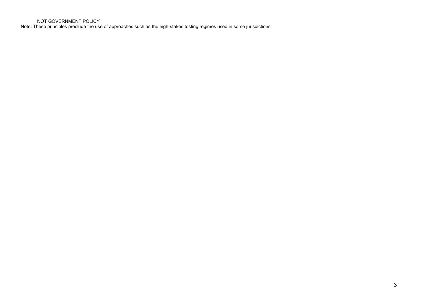Note: These principles preclude the use of approaches such as the high-stakes testing regimes used in some jurisdictions.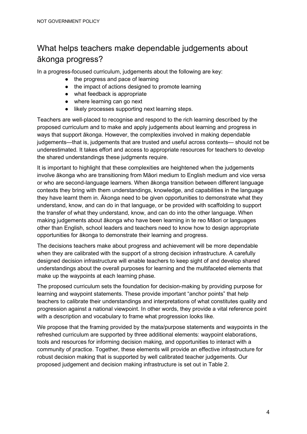# What helps teachers make dependable judgements about ākonga progress?

In a progress-focused curriculum, judgements about the following are key:

- the progress and pace of learning
- the impact of actions designed to promote learning
- what feedback is appropriate
- where learning can go next
- likely processes supporting next learning steps.

Teachers are well-placed to recognise and respond to the rich learning described by the proposed curriculum and to make and apply judgements about learning and progress in ways that support ākonga. However, the complexities involved in making dependable judgements—that is, judgements that are trusted and useful across contexts— should not be underestimated. It takes effort and access to appropriate resources for teachers to develop the shared understandings these judgments require.

It is important to highlight that these complexities are heightened when the judgements involve ākonga who are transitioning from Māori medium to English medium and vice versa or who are second-language learners. When ākonga transition between different language contexts they bring with them understandings, knowledge, and capabilities in the language they have learnt them in. Ākonga need to be given opportunities to demonstrate what they understand, know, and can do in that language, or be provided with scaffolding to support the transfer of what they understand, know, and can do into the other language. When making judgements about ākonga who have been learning in te reo Māori or languages other than English, school leaders and teachers need to know how to design appropriate opportunities for ākonga to demonstrate their learning and progress.

The decisions teachers make about progress and achievement will be more dependable when they are calibrated with the support of a strong decision infrastructure. A carefully designed decision infrastructure will enable teachers to keep sight of and develop shared understandings about the overall purposes for learning and the multifaceted elements that make up the waypoints at each learning phase.

The proposed curriculum sets the foundation for decision-making by providing purpose for learning and waypoint statements. These provide important "anchor points" that help teachers to calibrate their understandings and interpretations of what constitutes quality and progression against a national viewpoint. In other words, they provide a vital reference point with a description and vocabulary to frame what progression looks like.

We propose that the framing provided by the mata/purpose statements and waypoints in the refreshed curriculum are supported by three additional elements: waypoint elaborations, tools and resources for informing decision making, and opportunities to interact with a community of practice. Together, these elements will provide an effective infrastructure for robust decision making that is supported by well calibrated teacher judgements. Our proposed judgement and decision making infrastructure is set out in Table 2.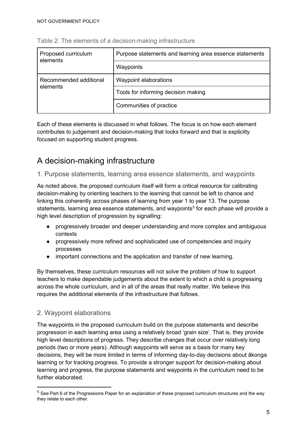| Proposed curriculum<br>elements | Purpose statements and learning area essence statements |
|---------------------------------|---------------------------------------------------------|
|                                 | Waypoints                                               |
| Recommended additional          | Waypoint elaborations                                   |
| elements                        | Tools for informing decision making                     |
|                                 | Communities of practice                                 |

#### Table 2: The elements of a decision-making infrastructure

Each of these elements is discussed in what follows. The focus is on how each element contributes to judgement and decision-making that looks forward and that is explicitly focused on supporting student progress.

# A decision-making infrastructure

#### 1. Purpose statements, learning area essence statements, and waypoints

As noted above, the proposed curriculum itself will form a critical resource for calibrating decision-making by orienting teachers to the learning that cannot be left to chance and linking this coherently across phases of learning from year 1 to year 13. The purpose statements, learning area essence statements, and waypoints<sup>[5](#page-5-0)</sup> for each phase will provide a high level description of progression by signalling:

- progressively broader and deeper understanding and more complex and ambiguous contexts
- progressively more refined and sophisticated use of competencies and inquiry processes
- important connections and the application and transfer of new learning.

By themselves, these curriculum resources will not solve the problem of how to support teachers to make dependable judgements about the extent to which a child is progressing across the whole curriculum, and in all of the areas that really matter. We believe this requires the additional elements of the infrastructure that follows.

#### 2. Waypoint elaborations

The waypoints in the proposed curriculum build on the purpose statements and describe progression in each learning area using a relatively broad 'grain size'. That is, they provide high level descriptions of progress. They describe changes that occur over relatively long periods (two or more years). Although waypoints will serve as a basis for many key decisions, they will be more limited in terms of informing day-to-day decisions about ākonga learning or for tracking progress. To provide a stronger support for decision-making about learning and progress, the purpose statements and waypoints in the curriculum need to be further elaborated.

<span id="page-5-0"></span><sup>5</sup> See Part 6 of the Progressions Paper for an explanation of these proposed curriculum structures and the way they relate to each other.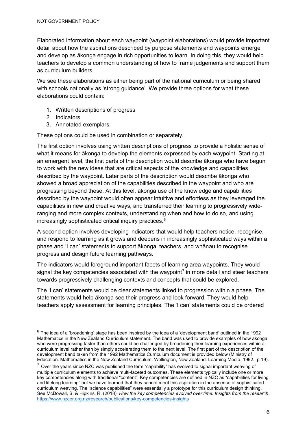Elaborated information about each waypoint (waypoint elaborations) would provide important detail about how the aspirations described by purpose statements and waypoints emerge and develop as ākonga engage in rich opportunities to learn. In doing this, they would help teachers to develop a common understanding of how to frame judgements and support them as curriculum builders.

We see these elaborations as either being part of the national curriculum or being shared with schools nationally as 'strong guidance'. We provide three options for what these elaborations could contain:

- 1. Written descriptions of progress
- 2. Indicators
- 3. Annotated exemplars.

These options could be used in combination or separately.

The first option involves using written descriptions of progress to provide a holistic sense of what it means for ākonga to develop the elements expressed by each waypoint. Starting at an emergent level, the first parts of the description would describe ākonga who have begun to work with the new ideas that are critical aspects of the knowledge and capabilities described by the waypoint. Later parts of the description would describe ākonga who showed a broad appreciation of the capabilities described in the waypoint and who are progressing beyond these. At this level, ākonga use of the knowledge and capabilities described by the waypoint would often appear intuitive and effortless as they leveraged the capabilities in new and creative ways, and transferred their learning to progressively wideranging and more complex contexts, understanding when and how to do so, and using increasingly sophisticated critical inquiry practices.<sup>[6](#page-6-0)</sup>

A second option involves developing indicators that would help teachers notice, recognise, and respond to learning as it grows and deepens in increasingly sophisticated ways within a phase and 'I can' statements to support ākonga, teachers, and whānau to recognise progress and design future learning pathways.

The indicators would foreground important facets of learning area waypoints. They would signal the key competencies associated with the waypoint<sup>[7](#page-6-1)</sup> in more detail and steer teachers towards progressively challenging contexts and concepts that could be explored.

The 'I can' statements would be clear statements linked to progression within a phase. The statements would help ākonga see their progress and look forward. They would help teachers apply assessment for learning principles. The 'I can' statements could be ordered

<span id="page-6-0"></span> $6$  The idea of a 'broadening' stage has been inspired by the idea of a 'development band' outlined in the 1992 Mathematics in the New Zealand Curriculum statement. The band was used to provide examples of how ākonga who were progressing faster than others could be challenged by broadening their learning experiences within a curriculum level rather than by simply accelerating them to the next level. The first part of the description of the development band taken from the 1992 Mathematics Curriculum document is provided below (Ministry of Education. Mathematics in the New Zealand Curriculum. Wellington, New Zealand: Learning Media, 1992., p.19).

<span id="page-6-1"></span> $7$  Over the years since NZC was published the term "capability" has evolved to signal important weaving of multiple curriculum elements to achieve multi-faceted outcomes. These elements typically include one or more key competencies along with traditional "content". Key competencies are defined in NZC as "capabilities for living and lifelong learning" but we have learned that they cannot meet this aspiration in the absence of sophisticated curriculum weaving. The "science capabilities" were essentially a prototype for this curriculum design thinking. See McDowall, S. & Hipkins, R. (2018). *How the key competencies evolved over time: Insights from the research*[.](https://www.nzcer.org.nz/research/publications/key-competencies-insights) <https://www.nzcer.org.nz/research/publications/key-competencies-insights>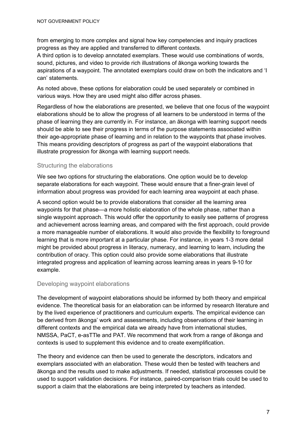from emerging to more complex and signal how key competencies and inquiry practices progress as they are applied and transferred to different contexts.

A third option is to develop annotated exemplars. These would use combinations of words, sound, pictures, and video to provide rich illustrations of ākonga working towards the aspirations of a waypoint. The annotated exemplars could draw on both the indicators and 'I can' statements.

As noted above, these options for elaboration could be used separately or combined in various ways. How they are used might also differ across phases.

Regardless of how the elaborations are presented, we believe that one focus of the waypoint elaborations should be to allow the progress of all learners to be understood in terms of the phase of learning they are currently in. For instance, an ākonga with learning support needs should be able to see their progress in terms of the purpose statements associated within their age-appropriate phase of learning and in relation to the waypoints that phase involves. This means providing descriptors of progress as part of the waypoint elaborations that illustrate progression for ākonga with learning support needs.

#### Structuring the elaborations

We see two options for structuring the elaborations. One option would be to develop separate elaborations for each waypoint. These would ensure that a finer-grain level of information about progress was provided for each learning area waypoint at each phase.

A second option would be to provide elaborations that consider all the learning area waypoints for that phase—a more holistic elaboration of the whole phase, rather than a single waypoint approach. This would offer the opportunity to easily see patterns of progress and achievement across learning areas, and compared with the first approach, could provide a more manageable number of elaborations. It would also provide the flexibility to foreground learning that is more important at a particular phase. For instance, in years 1-3 more detail might be provided about progress in literacy, numeracy, and learning to learn, including the contribution of oracy. This option could also provide some elaborations that illustrate integrated progress and application of learning across learning areas in years 9-10 for example.

#### Developing waypoint elaborations

The development of waypoint elaborations should be informed by both theory and empirical evidence. The theoretical basis for an elaboration can be informed by research literature and by the lived experience of practitioners and curriculum experts. The empirical evidence can be derived from ākonga' work and assessments, including observations of their learning in different contexts and the empirical data we already have from international studies, NMSSA, PaCT, e-asTTle and PAT. We recommend that work from a range of ākonga and contexts is used to supplement this evidence and to create exemplification.

The theory and evidence can then be used to generate the descriptors, indicators and exemplars associated with an elaboration. These would then be tested with teachers and ākonga and the results used to make adjustments. If needed, statistical processes could be used to support validation decisions. For instance, paired-comparison trials could be used to support a claim that the elaborations are being interpreted by teachers as intended.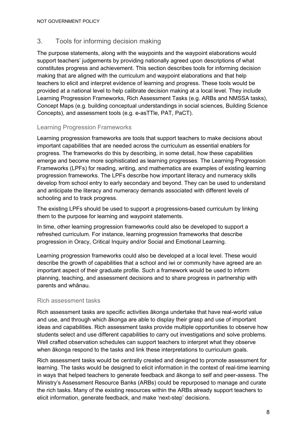## 3. Tools for informing decision making

The purpose statements, along with the waypoints and the waypoint elaborations would support teachers' judgements by providing nationally agreed upon descriptions of what constitutes progress and achievement. This section describes tools for informing decision making that are aligned with the curriculum and waypoint elaborations and that help teachers to elicit and interpret evidence of learning and progress. These tools would be provided at a national level to help calibrate decision making at a local level. They include Learning Progression Frameworks, Rich Assessment Tasks (e.g. ARBs and NMSSA tasks), Concept Maps (e.g. building conceptual understandings in social sciences, Building Science Concepts), and assessment tools (e.g. e-asTTle, PAT, PaCT).

#### Learning Progression Frameworks

Learning progression frameworks are tools that support teachers to make decisions about important capabilities that are needed across the curriculum as essential enablers for progress. The frameworks do this by describing, in some detail, how these capabilities emerge and become more sophisticated as learning progresses. The Learning Progression Frameworks (LPFs) for reading, writing, and mathematics are examples of existing learning progression frameworks. The LPFs describe how important literacy and numeracy skills develop from school entry to early secondary and beyond. They can be used to understand and anticipate the literacy and numeracy demands associated with different levels of schooling and to track progress.

The existing LPFs should be used to support a progressions-based curriculum by linking them to the purpose for learning and waypoint statements.

In time, other learning progression frameworks could also be developed to support a refreshed curriculum. For instance, learning progression frameworks that describe progression in Oracy, Critical Inquiry and/or Social and Emotional Learning.

Learning progression frameworks could also be developed at a local level. These would describe the growth of capabilities that a school and iwi or community have agreed are an important aspect of their graduate profile. Such a framework would be used to inform planning, teaching, and assessment decisions and to share progress in partnership with parents and whānau.

#### Rich assessment tasks

Rich assessment tasks are specific activities ākonga undertake that have real-world value and use, and through which ākonga are able to display their grasp and use of important ideas and capabilities. Rich assessment tasks provide multiple opportunities to observe how students select and use different capabilities to carry out investigations and solve problems. Well crafted observation schedules can support teachers to interpret what they observe when ākonga respond to the tasks and link these interpretations to curriculum goals.

Rich assessment tasks would be centrally created and designed to promote assessment for learning. The tasks would be designed to elicit information in the context of real-time learning in ways that helped teachers to generate feedback and ākonga to self and peer-assess. The Ministry's Assessment Resource Banks (ARBs) could be repurposed to manage and curate the rich tasks. Many of the existing resources within the ARBs already support teachers to elicit information, generate feedback, and make 'next-step' decisions.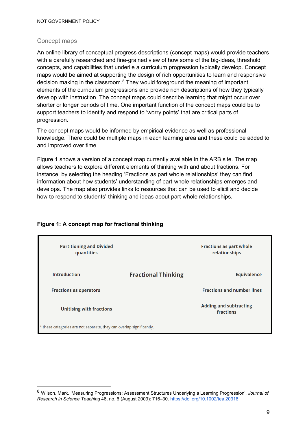#### Concept maps

An online library of conceptual progress descriptions (concept maps) would provide teachers with a carefully researched and fine-grained view of how some of the big-ideas, threshold concepts, and capabilities that underlie a curriculum progression typically develop. Concept maps would be aimed at supporting the design of rich opportunities to learn and responsive decision making in the classroom. [8](#page-9-0) They would foreground the meaning of important elements of the curriculum progressions and provide rich descriptions of how they typically develop with instruction. The concept maps could describe learning that might occur over shorter or longer periods of time. One important function of the concept maps could be to support teachers to identify and respond to 'worry points' that are critical parts of progression.

The concept maps would be informed by empirical evidence as well as professional knowledge. There could be multiple maps in each learning area and these could be added to and improved over time.

Figure 1 shows a version of a concept map currently available in the ARB site. The map allows teachers to explore different elements of thinking with and about fractions. For instance, by selecting the heading 'Fractions as part whole relationships' they can find information about how students' understanding of part-whole relationships emerges and develops. The map also provides links to resources that can be used to elicit and decide how to respond to students' thinking and ideas about part-whole relationships.

| <b>Partitioning and Divided</b><br>quantities                        |                            | <b>Fractions as part whole</b><br>relationships |
|----------------------------------------------------------------------|----------------------------|-------------------------------------------------|
| <b>Introduction</b>                                                  | <b>Fractional Thinking</b> | <b>Equivalence</b>                              |
| <b>Fractions as operators</b>                                        |                            | <b>Fractions and number lines</b>               |
| <b>Unitising with fractions</b>                                      |                            | <b>Adding and subtracting</b><br>fractions      |
| * these categories are not separate, they can overlap significantly. |                            |                                                 |

#### **Figure 1: A concept map for fractional thinking**

<span id="page-9-0"></span><sup>8</sup> Wilson, Mark. 'Measuring Progressions: Assessment Structures Underlying a Learning Progression'. *Journal of Research in Science Teaching* 46, no. 6 (August 2009): 716–30. <https://doi.org/10.1002/tea.20318>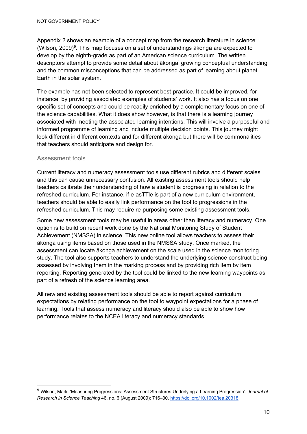Appendix 2 shows an example of a concept map from the research literature in science (Wilson, 200[9](#page-10-0))<sup>9</sup>. This map focuses on a set of understandings ākonga are expected to develop by the eighth-grade as part of an American science curriculum. The written descriptors attempt to provide some detail about ākonga' growing conceptual understanding and the common misconceptions that can be addressed as part of learning about planet Earth in the solar system.

The example has not been selected to represent best-practice. It could be improved, for instance, by providing associated examples of students' work. It also has a focus on one specific set of concepts and could be readily enriched by a complementary focus on one of the science capabilities. What it does show however, is that there is a learning journey associated with meeting the associated learning intentions. This will involve a purposeful and informed programme of learning and include multiple decision points. This journey might look different in different contexts and for different ākonga but there will be commonalities that teachers should anticipate and design for.

#### Assessment tools

Current literacy and numeracy assessment tools use different rubrics and different scales and this can cause unnecessary confusion. All existing assessment tools should help teachers calibrate their understanding of how a student is progressing in relation to the refreshed curriculum. For instance, if e-asTTle is part of a new curriculum environment, teachers should be able to easily link performance on the tool to progressions in the refreshed curriculum. This may require re-purposing some existing assessment tools.

Some new assessment tools may be useful in areas other than literacy and numeracy. One option is to build on recent work done by the National Monitoring Study of Student Achievement (NMSSA) in science. This new online tool allows teachers to assess their ākonga using items based on those used in the NMSSA study. Once marked, the assessment can locate ākonga achievement on the scale used in the science monitoring study. The tool also supports teachers to understand the underlying science construct being assessed by involving them in the marking process and by providing rich item by item reporting. Reporting generated by the tool could be linked to the new learning waypoints as part of a refresh of the science learning area.

All new and existing assessment tools should be able to report against curriculum expectations by relating performance on the tool to waypoint expectations for a phase of learning. Tools that assess numeracy and literacy should also be able to show how performance relates to the NCEA literacy and numeracy standards.

<span id="page-10-0"></span><sup>9</sup> Wilson, Mark. 'Measuring Progressions: Assessment Structures Underlying a Learning Progression'. *Journal of Research in Science Teaching* 46, no. 6 (August 2009): 716–30. [https://doi.org/10.1002/tea.20318.](https://doi.org/10.1002/tea.20318)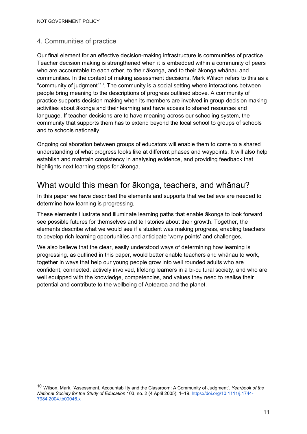### 4. Communities of practice

Our final element for an effective decision-making infrastructure is communities of practice. Teacher decision making is strengthened when it is embedded within a community of peers who are accountable to each other, to their ākonga, and to their ākonga whānau and communities. In the context of making assessment decisions, Mark Wilson refers to this as a "community of judgment"[10](#page-11-0). The community is a social setting where interactions between people bring meaning to the descriptions of progress outlined above. A community of practice supports decision making when its members are involved in group-decision making activities about ākonga and their learning and have access to shared resources and language. If teacher decisions are to have meaning across our schooling system, the community that supports them has to extend beyond the local school to groups of schools and to schools nationally.

Ongoing collaboration between groups of educators will enable them to come to a shared understanding of what progress looks like at different phases and waypoints. It will also help establish and maintain consistency in analysing evidence, and providing feedback that highlights next learning steps for ākonga.

## What would this mean for ākonga, teachers, and whānau?

In this paper we have described the elements and supports that we believe are needed to determine how learning is progressing.

These elements illustrate and illuminate learning paths that enable ākonga to look forward, see possible futures for themselves and tell stories about their growth. Together, the elements describe what we would see if a student was making progress, enabling teachers to develop rich learning opportunities and anticipate 'worry points' and challenges.

We also believe that the clear, easily understood ways of determining how learning is progressing, as outlined in this paper, would better enable teachers and whānau to work, together in ways that help our young people grow into well rounded adults who are confident, connected, actively involved, lifelong learners in a bi-cultural society, and who are well equipped with the knowledge, competencies, and values they need to realise their potential and contribute to the wellbeing of Aotearoa and the planet.

<span id="page-11-0"></span><sup>10</sup> Wilson, Mark. 'Assessment, Accountability and the Classroom: A Community of Judgment'. *Yearbook of the National Society for the Study of Education* 103, no. 2 (4 April 2005): 1–1[9.](https://doi.org/10.1111/j.1744-7984.2004.tb00046.x) [https://doi.org/10.1111/j.1744-](https://doi.org/10.1111/j.1744-7984.2004.tb00046.x) [7984.2004.tb00046.x](https://doi.org/10.1111/j.1744-7984.2004.tb00046.x)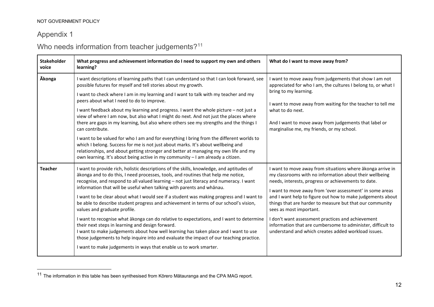## <span id="page-12-0"></span>Appendix 1

# Who needs information from teacher judgements?<sup>[11](#page-12-0)</sup>

| <b>Stakeholder</b><br>voice | What progress and achievement information do I need to support my own and others<br>learning?                                                                                                                                                                                                                                                                                                                                                                                                                                                                                                                                                                                                                                                                                                                                                                                                                                                                                | What do I want to move away from?                                                                                                                                                                                                                                                                                                                                                                                                                                                                                                                                        |
|-----------------------------|------------------------------------------------------------------------------------------------------------------------------------------------------------------------------------------------------------------------------------------------------------------------------------------------------------------------------------------------------------------------------------------------------------------------------------------------------------------------------------------------------------------------------------------------------------------------------------------------------------------------------------------------------------------------------------------------------------------------------------------------------------------------------------------------------------------------------------------------------------------------------------------------------------------------------------------------------------------------------|--------------------------------------------------------------------------------------------------------------------------------------------------------------------------------------------------------------------------------------------------------------------------------------------------------------------------------------------------------------------------------------------------------------------------------------------------------------------------------------------------------------------------------------------------------------------------|
| <b>Ākonga</b>               | I want descriptions of learning paths that I can understand so that I can look forward, see<br>possible futures for myself and tell stories about my growth.<br>I want to check where I am in my learning and I want to talk with my teacher and my<br>peers about what I need to do to improve.<br>I want feedback about my learning and progress. I want the whole picture – not just a<br>view of where I am now, but also what I might do next. And not just the places where<br>there are gaps in my learning, but also where others see my strengths and the things I<br>can contribute.<br>I want to be valued for who I am and for everything I bring from the different worlds to<br>which I belong. Success for me is not just about marks. It's about wellbeing and<br>relationships, and about getting stronger and better at managing my own life and my<br>own learning. It's about being active in my community - I am already a citizen.                     | I want to move away from judgements that show I am not<br>appreciated for who I am, the cultures I belong to, or what I<br>bring to my learning.<br>I want to move away from waiting for the teacher to tell me<br>what to do next.<br>And I want to move away from judgements that label or<br>marginalise me, my friends, or my school.                                                                                                                                                                                                                                |
| <b>Teacher</b>              | I want to provide rich, holistic descriptions of the skills, knowledge, and aptitudes of<br>ākonga and to do this, I need processes, tools, and routines that help me notice,<br>recognise, and respond to all valued learning - not just literacy and numeracy. I want<br>information that will be useful when talking with parents and whānau.<br>I want to be clear about what I would see if a student was making progress and I want to<br>be able to describe student progress and achievement in terms of our school's vision,<br>values and graduate profile.<br>I want to recognise what ākonga can do relative to expectations, and I want to determine<br>their next steps in learning and design forward.<br>I want to make judgements about how well learning has taken place and I want to use<br>those judgements to help inquire into and evaluate the impact of our teaching practice.<br>I want to make judgements in ways that enable us to work smarter. | I want to move away from situations where akonga arrive in<br>my classrooms with no information about their wellbeing<br>needs, interests, progress or achievements to date.<br>I want to move away from 'over assessment' in some areas<br>and I want help to figure out how to make judgements about<br>things that are harder to measure but that our community<br>sees as most important.<br>I don't want assessment practices and achievement<br>information that are cumbersome to administer, difficult to<br>understand and which creates added workload issues. |

<sup>11</sup> The information in this table has been synthesised from Kōrero Mātauranga and the CPA MAG report.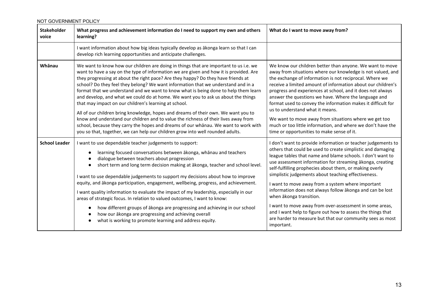| <b>Stakeholder</b><br>voice | What progress and achievement information do I need to support my own and others<br>learning?                                                                                                                                                                                                                                                                                                                                                                                                                                                                                                                                                                                                                                                                                                                                                                                                                                                        | What do I want to move away from?                                                                                                                                                                                                                                                                                                                                                                                                                                                                                                                                                                                                                                                                            |
|-----------------------------|------------------------------------------------------------------------------------------------------------------------------------------------------------------------------------------------------------------------------------------------------------------------------------------------------------------------------------------------------------------------------------------------------------------------------------------------------------------------------------------------------------------------------------------------------------------------------------------------------------------------------------------------------------------------------------------------------------------------------------------------------------------------------------------------------------------------------------------------------------------------------------------------------------------------------------------------------|--------------------------------------------------------------------------------------------------------------------------------------------------------------------------------------------------------------------------------------------------------------------------------------------------------------------------------------------------------------------------------------------------------------------------------------------------------------------------------------------------------------------------------------------------------------------------------------------------------------------------------------------------------------------------------------------------------------|
|                             | I want information about how big ideas typically develop as ākonga learn so that I can<br>develop rich learning opportunities and anticipate challenges.                                                                                                                                                                                                                                                                                                                                                                                                                                                                                                                                                                                                                                                                                                                                                                                             |                                                                                                                                                                                                                                                                                                                                                                                                                                                                                                                                                                                                                                                                                                              |
| Whānau                      | We want to know how our children are doing in things that are important to us i.e. we<br>want to have a say on the type of information we are given and how it is provided. Are<br>they progressing at about the right pace? Are they happy? Do they have friends at<br>school? Do they feel they belong? We want information that we understand and in a<br>format that we understand and we want to know what is being done to help them learn<br>and develop, and what we could do at home. We want you to ask us about the things<br>that may impact on our children's learning at school.<br>All of our children bring knowledge, hopes and dreams of their own. We want you to<br>know and understand our children and to value the richness of their lives away from<br>school, because they carry the hopes and dreams of our whanau. We want to work with<br>you so that, together, we can help our children grow into well rounded adults. | We know our children better than anyone. We want to move<br>away from situations where our knowledge is not valued, and<br>the exchange of information is not reciprocal. Where we<br>receive a limited amount of information about our children's<br>progress and experiences at school, and it does not always<br>answer the questions we have. Where the language and<br>format used to convey the information makes it difficult for<br>us to understand what it means.<br>We want to move away from situations where we get too<br>much or too little information, and where we don't have the<br>time or opportunities to make sense of it.                                                            |
| <b>School Leader</b>        | I want to use dependable teacher judgements to support:<br>learning focused conversations between akonga, whanau and teachers<br>dialogue between teachers about progression<br>short term and long term decision making at ākonga, teacher and school level.<br>I want to use dependable judgements to support my decisions about how to improve<br>equity, and ākonga participation, engagement, wellbeing, progress, and achievement.<br>I want quality information to evaluate the impact of my leadership, especially in our<br>areas of strategic focus. In relation to valued outcomes, I want to know:<br>how different groups of akonga are progressing and achieving in our school<br>how our ākonga are progressing and achieving overall<br>what is working to promote learning and address equity.                                                                                                                                      | I don't want to provide information or teacher judgements to<br>others that could be used to create simplistic and damaging<br>league tables that name and blame schools. I don't want to<br>use assessment information for streaming akonga, creating<br>self-fulfilling prophecies about them, or making overly<br>simplistic judgements about teaching effectiveness.<br>I want to move away from a system where important<br>information does not always follow akonga and can be lost<br>when ākonga transition.<br>I want to move away from over-assessment in some areas,<br>and I want help to figure out how to assess the things that<br>are harder to measure but that our community sees as most |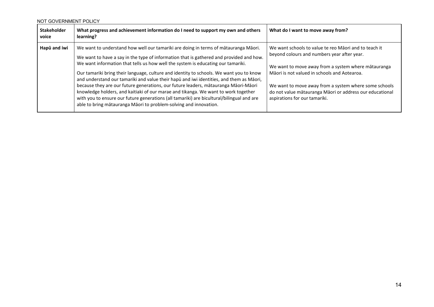| <b>Stakeholder</b><br>voice | What progress and achievement information do I need to support my own and others<br>learning?                                                                                                                                                                                                                                                                                                                                                                                                                                                                                                                                                                                                                                                                                                           | What do I want to move away from?                                                                                                                                                                                                                                                                                                                                 |
|-----------------------------|---------------------------------------------------------------------------------------------------------------------------------------------------------------------------------------------------------------------------------------------------------------------------------------------------------------------------------------------------------------------------------------------------------------------------------------------------------------------------------------------------------------------------------------------------------------------------------------------------------------------------------------------------------------------------------------------------------------------------------------------------------------------------------------------------------|-------------------------------------------------------------------------------------------------------------------------------------------------------------------------------------------------------------------------------------------------------------------------------------------------------------------------------------------------------------------|
| Hapū and iwi                | We want to understand how well our tamariki are doing in terms of matauranga Maori.<br>We want to have a say in the type of information that is gathered and provided and how.<br>We want information that tells us how well the system is educating our tamariki.<br>Our tamariki bring their language, culture and identity to schools. We want you to know<br>and understand our tamariki and value their hapū and iwi identities, and them as Māori,<br>because they are our future generations, our future leaders, mātauranga Māori-Māori<br>knowledge holders, and kaitiaki of our marae and tikanga. We want to work together<br>with you to ensure our future generations (all tamariki) are bicultural/bilingual and are<br>able to bring mātauranga Māori to problem-solving and innovation. | We want schools to value te reo Maori and to teach it<br>beyond colours and numbers year after year.<br>We want to move away from a system where mātauranga<br>Māori is not valued in schools and Aotearoa.<br>We want to move away from a system where some schools<br>do not value mātauranga Māori or address our educational<br>aspirations for our tamariki. |